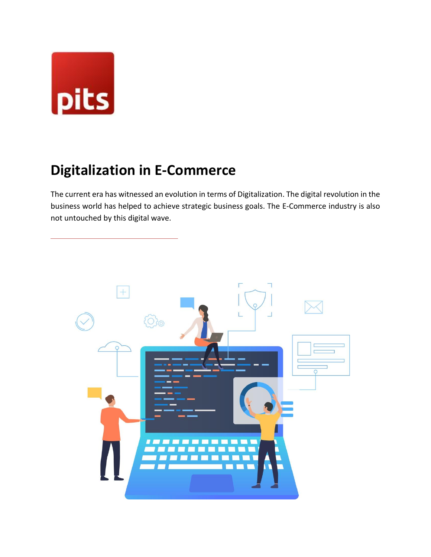

# **Digitalization in E-Commerce**

The current era has witnessed an evolution in terms of Digitalization. The digital revolution in the business world has helped to achieve strategic business goals. The E-Commerce industry is also not untouched by this digital wave.

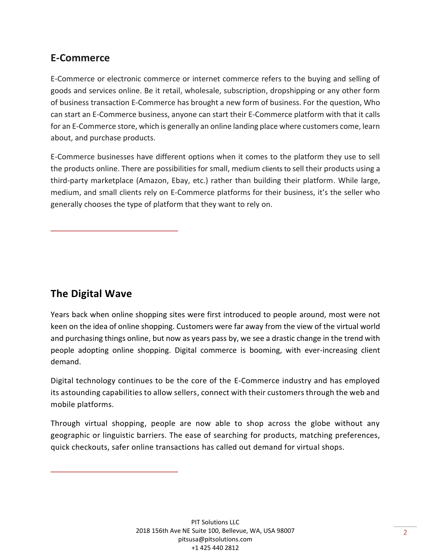### **E-Commerce**

E-Commerce or electronic commerce or internet commerce refers to the buying and selling of goods and services online. Be it retail, wholesale, subscription, dropshipping or any other form of business transaction E-Commerce has brought a new form of business. For the question, Who can start an E-Commerce business, anyone can start their E-Commerce platform with that it calls for an E-Commerce store, which is generally an online landing place where customers come, learn about, and purchase products.

E-Commerce businesses have different options when it comes to the platform they use to sell the products online. There are possibilities for small, medium clients to sell their products using a third-party marketplace (Amazon, Ebay, etc.) rather than building their platform. While large, medium, and small clients rely on E-Commerce platforms for their business, it's the seller who generally chooses the type of platform that they want to rely on.

# **The Digital Wave**

Years back when online shopping sites were first introduced to people around, most were not keen on the idea of online shopping. Customers were far away from the view of the virtual world and purchasing things online, but now as years pass by, we see a drastic change in the trend with people adopting online shopping. Digital commerce is booming, with ever-increasing client demand.

Digital technology continues to be the core of the E-Commerce industry and has employed its astounding capabilities to allow sellers, connect with their customers through the web and mobile platforms.

Through virtual shopping, people are now able to shop across the globe without any geographic or linguistic barriers. The ease of searching for products, matching preferences, quick checkouts, safer online transactions has called out demand for virtual shops.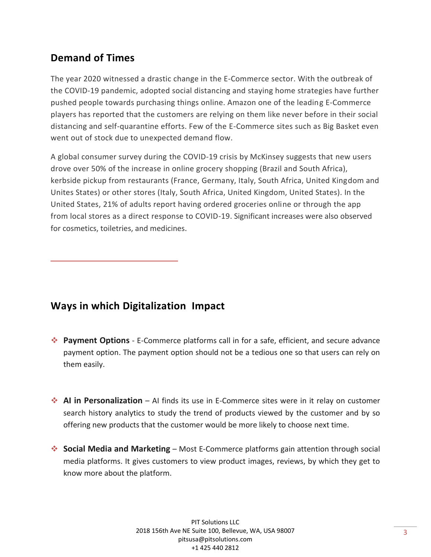# **Demand of Times**

The year 2020 witnessed a drastic change in the E-Commerce sector. With the outbreak of the COVID-19 pandemic, adopted social distancing and staying home strategies have further pushed people towards purchasing things online. Amazon one of the leading E-Commerce players has reported that the customers are relying on them like never before in their social distancing and self-quarantine efforts. Few of the E-Commerce sites such as Big Basket even went out of stock due to unexpected demand flow.

A global consumer survey during the COVID-19 crisis by McKinsey suggests that new users drove over 50% of the increase in online grocery shopping (Brazil and South Africa), kerbside pickup from restaurants (France, Germany, Italy, South Africa, United Kingdom and Unites States) or other stores (Italy, South Africa, United Kingdom, United States). In the United States, 21% of adults report having ordered groceries online or through the app from local stores as a direct response to COVID-19. Significant increases were also observed for cosmetics, toiletries, and medicines.

#### **Ways in which Digitalization Impact**

- ❖ **Payment Options** E-Commerce platforms call in for a safe, efficient, and secure advance payment option. The payment option should not be a tedious one so that users can rely on them easily.
- ❖ **AI in Personalization** AI finds its use in E-Commerce sites were in it relay on customer search history analytics to study the trend of products viewed by the customer and by so offering new products that the customer would be more likely to choose next time.
- ❖ **Social Media and Marketing** Most E-Commerce platforms gain attention through social media platforms. It gives customers to view product images, reviews, by which they get to know more about the platform.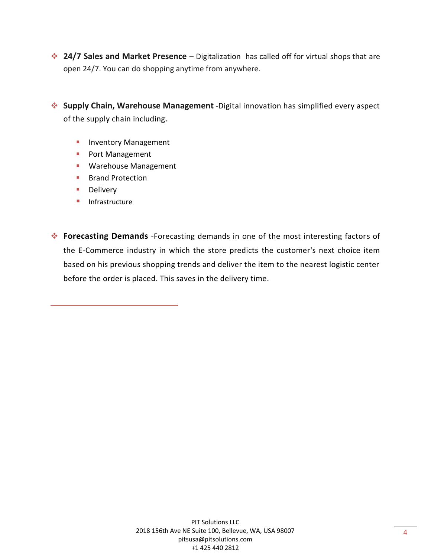- ❖ **24/7 Sales and Market Presence**  Digitalization has called off for virtual shops that are open 24/7. You can do shopping anytime from anywhere.
- ❖ **Supply Chain, Warehouse Management** -Digital innovation has simplified every aspect of the supply chain including.
	- **·** Inventory Management
	- Port Management
	- Warehouse Management
	- Brand Protection
	- Delivery
	- Infrastructure
- ❖ **Forecasting Demands** -Forecasting demands in one of the most interesting factors of the E-Commerce industry in which the store predicts the customer's next choice item based on his previous shopping trends and deliver the item to the nearest logistic center before the order is placed. This saves in the delivery time.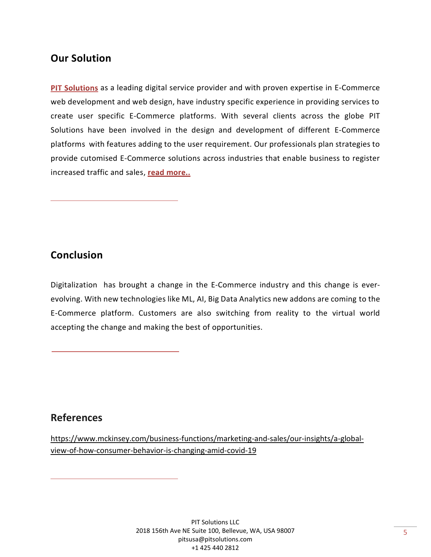#### **[Our Solution](https://www.pitsolutions.ch/en/references/#webshop)**

PIT Solutions as a leading digital service provider and with proven expertise in E-Commerce web development and web design, have industry specific experience in providing services to create user specific [E-Commerce](https://www.pitsolutions.ch/en/references/#webshop) platforms. With several clients across the globe [PIT](https://www.pitsolutions.ch/en/references/#webshop) [Solutions](https://www.pitsolutions.ch/en/references/#webshop) have been involved in the design and development of different E-Commerce platforms with features adding to the user requirement. Our professionals plan strategies to provide [cutomised E-Commerce](https://www.pitsolutions.ch/en/references/#webshop) solutions across industries that enable business to register increased traffic and sales, read more..

#### **Conclusion**

Digitalization has brought a change in the E-Commerce industry and this change is everevolving. With new technologies like ML, AI, Big Data Analytics new addons are coming to the E-Commerce platform. Customers are also switching from reality to the virtual world accepting the change and making the best of opportunities.

#### **References**

[https://www.mckinsey.com/business-functions/marketing-and-sales/our-insights/a-global](https://www.mckinsey.com/business-functions/marketing-and-sales/our-insights/a-global-view-of-how-consumer-behavior-is-changing-amid-covid-19)[view-of-how-consumer-behavior-is-changing-amid-covid-19](https://www.mckinsey.com/business-functions/marketing-and-sales/our-insights/a-global-view-of-how-consumer-behavior-is-changing-amid-covid-19)